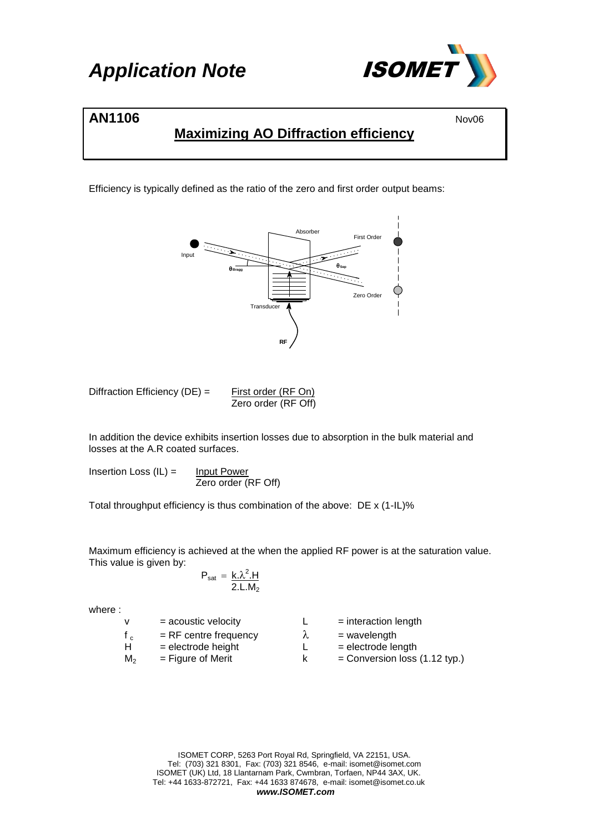

### **AN1106** Nov06

### **Maximizing AO Diffraction efficiency**

Efficiency is typically defined as the ratio of the zero and first order output beams:



| Diffraction Efficiency (DE) = | First order (RF On) |  |
|-------------------------------|---------------------|--|
|                               | Zero order (RF Off) |  |

In addition the device exhibits insertion losses due to absorption in the bulk material and losses at the A.R coated surfaces.

Insertion Loss  $(IL) =$  Input Power Zero order (RF Off)

Total throughput efficiency is thus combination of the above: DE x (1-IL)%

Maximum efficiency is achieved at the when the applied RF power is at the saturation value. This value is given by:

$$
P_{sat} = \frac{k \cdot \lambda^2 \cdot H}{2 \cdot L \cdot M_2}
$$

where :

| <b>V</b>       | $=$ acoustic velocity   |   | $=$ interaction length          |
|----------------|-------------------------|---|---------------------------------|
|                | $=$ RF centre frequency | λ | $=$ wavelength                  |
| H              | $=$ electrode height    |   | $=$ electrode length            |
| M <sub>2</sub> | $=$ Figure of Merit     |   | $=$ Conversion loss (1.12 typ.) |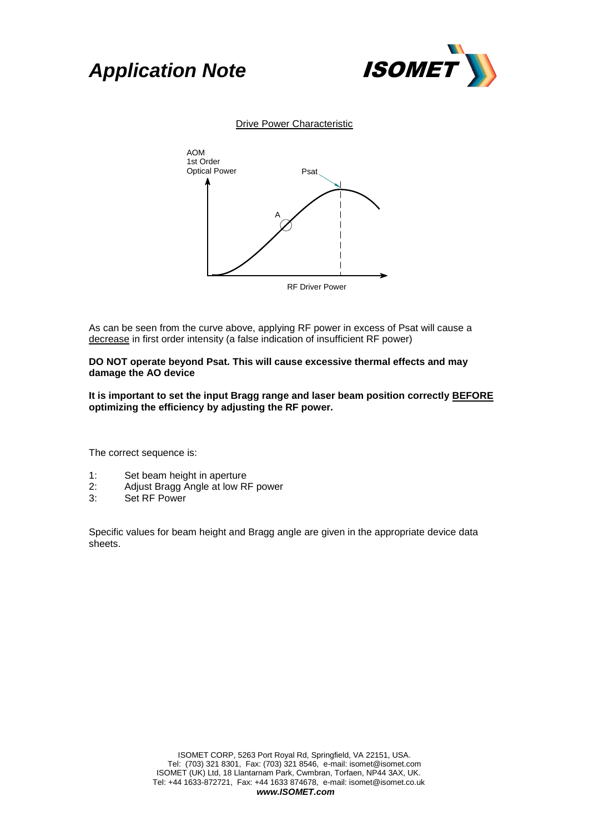# *Application Note* ISOMET



Drive Power Characteristic



As can be seen from the curve above, applying RF power in excess of Psat will cause a decrease in first order intensity (a false indication of insufficient RF power)

#### **DO NOT operate beyond Psat. This will cause excessive thermal effects and may damage the AO device**

**It is important to set the input Bragg range and laser beam position correctly BEFORE optimizing the efficiency by adjusting the RF power.**

The correct sequence is:

- 1: Set beam height in aperture
- 2: Adjust Bragg Angle at low RF power
- 3: Set RF Power

Specific values for beam height and Bragg angle are given in the appropriate device data sheets.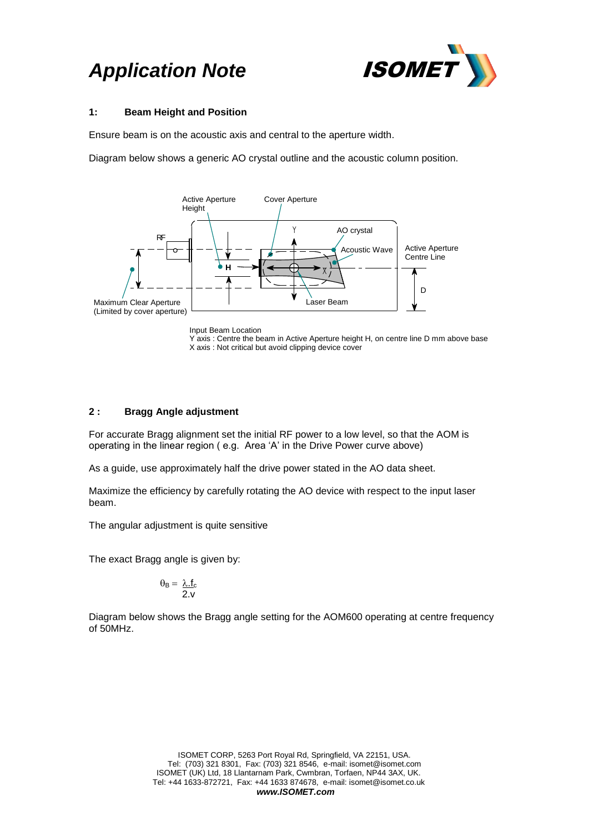# **Application Note <b>ISOMET**



#### **1: Beam Height and Position**

Ensure beam is on the acoustic axis and central to the aperture width.

Diagram below shows a generic AO crystal outline and the acoustic column position.



Input Beam Location

Y axis : Centre the beam in Active Aperture height H, on centre line D mm above base X axis : Not critical but avoid clipping device cover

#### **2 : Bragg Angle adjustment**

For accurate Bragg alignment set the initial RF power to a low level, so that the AOM is operating in the linear region ( e.g. Area 'A' in the Drive Power curve above)

As a guide, use approximately half the drive power stated in the AO data sheet.

Maximize the efficiency by carefully rotating the AO device with respect to the input laser beam.

The angular adjustment is quite sensitive

The exact Bragg angle is given by:

$$
\theta_{\text{B}} = \frac{\lambda.f_{\text{c}}}{2.v}
$$

Diagram below shows the Bragg angle setting for the AOM600 operating at centre frequency of 50MHz.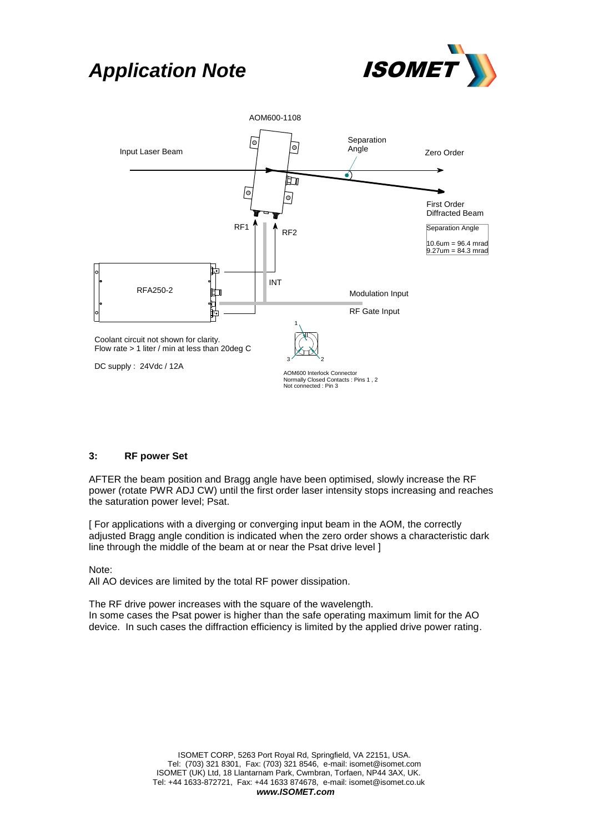### *Application Note* ISOMET





#### **3: RF power Set**

AFTER the beam position and Bragg angle have been optimised, slowly increase the RF power (rotate PWR ADJ CW) until the first order laser intensity stops increasing and reaches the saturation power level; Psat.

[ For applications with a diverging or converging input beam in the AOM, the correctly adjusted Bragg angle condition is indicated when the zero order shows a characteristic dark line through the middle of the beam at or near the Psat drive level ]

Note:

All AO devices are limited by the total RF power dissipation.

The RF drive power increases with the square of the wavelength. In some cases the Psat power is higher than the safe operating maximum limit for the AO device. In such cases the diffraction efficiency is limited by the applied drive power rating.